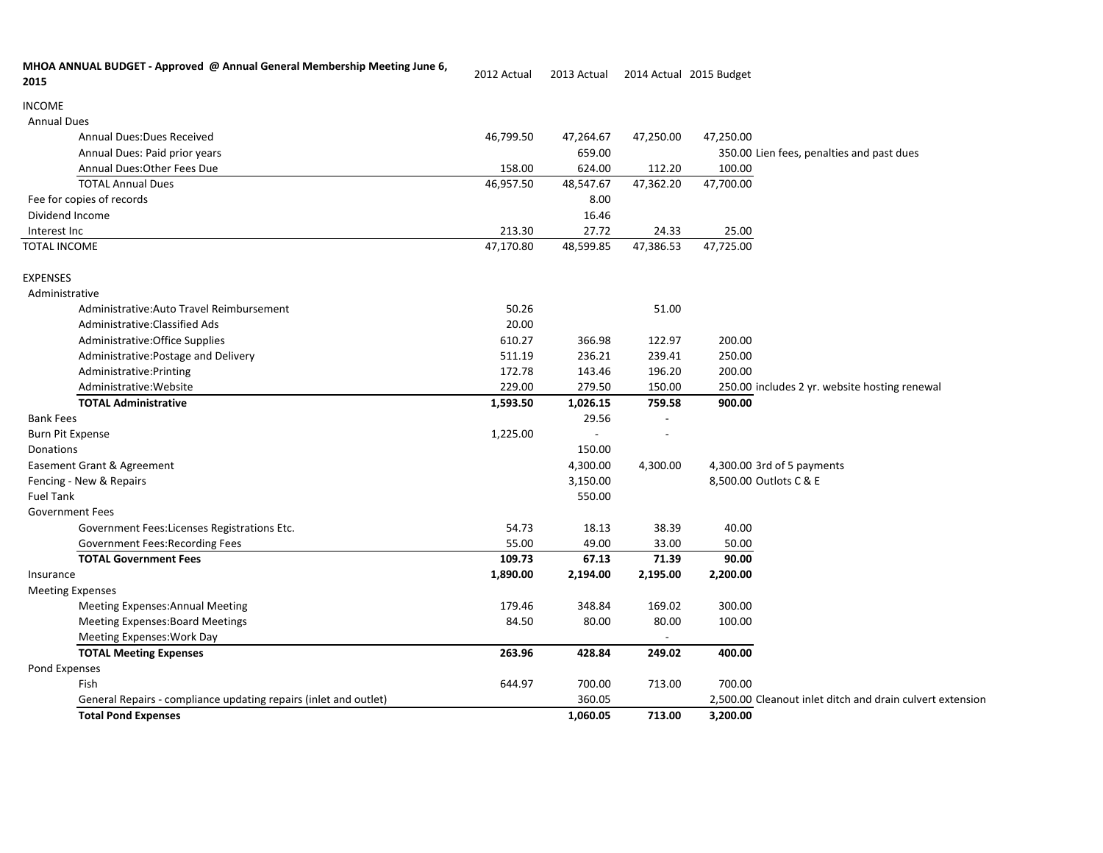| MHOA ANNUAL BUDGET - Approved @ Annual General Membership Meeting June 6,<br>2015 | 2012 Actual | 2013 Actual |           | 2014 Actual 2015 Budget                                   |
|-----------------------------------------------------------------------------------|-------------|-------------|-----------|-----------------------------------------------------------|
| <b>INCOME</b>                                                                     |             |             |           |                                                           |
| <b>Annual Dues</b>                                                                |             |             |           |                                                           |
| <b>Annual Dues: Dues Received</b>                                                 | 46,799.50   | 47,264.67   | 47,250.00 | 47,250.00                                                 |
| Annual Dues: Paid prior years                                                     |             | 659.00      |           | 350.00 Lien fees, penalties and past dues                 |
| Annual Dues: Other Fees Due                                                       | 158.00      | 624.00      | 112.20    | 100.00                                                    |
| <b>TOTAL Annual Dues</b>                                                          | 46,957.50   | 48,547.67   | 47,362.20 | 47,700.00                                                 |
| Fee for copies of records                                                         |             | 8.00        |           |                                                           |
| Dividend Income                                                                   |             | 16.46       |           |                                                           |
| Interest Inc                                                                      | 213.30      | 27.72       | 24.33     | 25.00                                                     |
| <b>TOTAL INCOME</b>                                                               | 47,170.80   | 48,599.85   | 47,386.53 | 47,725.00                                                 |
| <b>EXPENSES</b>                                                                   |             |             |           |                                                           |
| Administrative                                                                    |             |             |           |                                                           |
| Administrative:Auto Travel Reimbursement                                          | 50.26       |             | 51.00     |                                                           |
| Administrative:Classified Ads                                                     | 20.00       |             |           |                                                           |
| Administrative: Office Supplies                                                   | 610.27      | 366.98      | 122.97    | 200.00                                                    |
| Administrative: Postage and Delivery                                              | 511.19      | 236.21      | 239.41    | 250.00                                                    |
| Administrative: Printing                                                          | 172.78      | 143.46      | 196.20    | 200.00                                                    |
| Administrative: Website                                                           | 229.00      | 279.50      | 150.00    | 250.00 includes 2 yr. website hosting renewal             |
| <b>TOTAL Administrative</b>                                                       | 1,593.50    | 1,026.15    | 759.58    | 900.00                                                    |
| <b>Bank Fees</b>                                                                  |             | 29.56       |           |                                                           |
| <b>Burn Pit Expense</b>                                                           | 1,225.00    | $\sim$      |           |                                                           |
| Donations                                                                         |             | 150.00      |           |                                                           |
| Easement Grant & Agreement                                                        |             | 4,300.00    | 4,300.00  | 4,300.00 3rd of 5 payments                                |
| Fencing - New & Repairs                                                           |             | 3,150.00    |           | 8,500.00 Outlots C & E                                    |
| <b>Fuel Tank</b>                                                                  |             | 550.00      |           |                                                           |
| <b>Government Fees</b>                                                            |             |             |           |                                                           |
| Government Fees:Licenses Registrations Etc.                                       | 54.73       | 18.13       | 38.39     | 40.00                                                     |
| Government Fees: Recording Fees                                                   | 55.00       | 49.00       | 33.00     | 50.00                                                     |
| <b>TOTAL Government Fees</b>                                                      | 109.73      | 67.13       | 71.39     | 90.00                                                     |
| Insurance                                                                         | 1,890.00    | 2,194.00    | 2,195.00  | 2,200.00                                                  |
| <b>Meeting Expenses</b>                                                           |             |             |           |                                                           |
| <b>Meeting Expenses:Annual Meeting</b>                                            | 179.46      | 348.84      | 169.02    | 300.00                                                    |
| <b>Meeting Expenses: Board Meetings</b>                                           | 84.50       | 80.00       | 80.00     | 100.00                                                    |
| Meeting Expenses: Work Day                                                        |             |             |           |                                                           |
| <b>TOTAL Meeting Expenses</b>                                                     | 263.96      | 428.84      | 249.02    | 400.00                                                    |
| Pond Expenses                                                                     |             |             |           |                                                           |
| Fish                                                                              | 644.97      | 700.00      | 713.00    | 700.00                                                    |
| General Repairs - compliance updating repairs (inlet and outlet)                  |             | 360.05      |           | 2,500.00 Cleanout inlet ditch and drain culvert extension |
| <b>Total Pond Expenses</b>                                                        |             | 1,060.05    | 713.00    | 3,200.00                                                  |